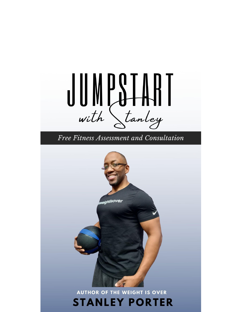# $\bigcup_{\mathsf{with}}\bigcup_{\mathsf{atmley}}\bigcup_{\mathsf{atmley}}$

Free Fitness Assessment and Consultation

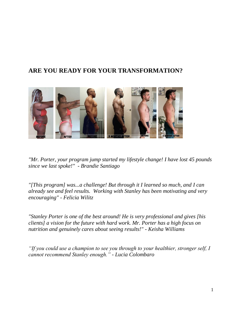# **ARE YOU READY FOR YOUR TRANSFORMATION?**



*"Mr. Porter, your program jump started my lifestyle change! I have lost 45 pounds since we last spoke!" - Brandie Santiago* 

*"[This program] was...a challenge! But through it I learned so much, and I can already see and feel results. Working with Stanley has been motivating and very encouraging" - Felicia Wilitz*

*"Stanley Porter is one of the best around! He is very professional and gives [his clients] a vision for the future with hard work. Mr. Porter has a high focus on nutrition and genuinely cares about seeing results!" - Keisha Williams*

*"If you could use a champion to see you through to your healthier, stronger self, I cannot recommend Stanley enough." - Lucia Colombaro*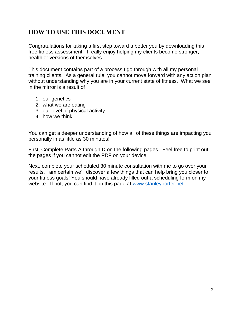## **HOW TO USE THIS DOCUMENT**

Congratulations for taking a first step toward a better you by downloading this free fitness assessment! I really enjoy helping my clients become stronger, healthier versions of themselves.

This document contains part of a process I go through with all my personal training clients. As a general rule: you cannot move forward with any action plan without understanding why you are in your current state of fitness. What we see in the mirror is a result of

- 1. our genetics
- 2. what we are eating
- 3. our level of physical activity
- 4. how we think

You can get a deeper understanding of how all of these things are impacting you personally in as little as 30 minutes!

First, Complete Parts A through D on the following pages. Feel free to print out the pages if you cannot edit the PDF on your device.

Next, complete your scheduled 30 minute consultation with me to go over your results. I am certain we'll discover a few things that can help bring you closer to your fitness goals! You should have already filled out a scheduling form on my website. If not, you can find it on this page at [www.stanleyporter.net](https://www.stanleyporter.net/booking)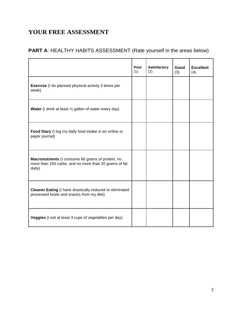# **YOUR FREE ASSESSMENT**

## **PART A**: HEALTHY HABITS ASSESSMENT (Rate yourself in the areas below)

|                                                                                                                      | Poor<br>(1) | <b>Satisfactory</b><br>(2) | Good<br>(3) | <b>Excellent</b><br>(4) |
|----------------------------------------------------------------------------------------------------------------------|-------------|----------------------------|-------------|-------------------------|
| <b>Exercise</b> (I do planned physical activity 3 times per<br>week)                                                 |             |                            |             |                         |
| <b>Water</b> (I drink at least $\frac{1}{2}$ gallon of water every day)                                              |             |                            |             |                         |
| Food Diary (I log my daily food intake in an online or<br>paper journal)                                             |             |                            |             |                         |
| Macronutrients (I consume 60 grams of protein, no<br>more than 150 carbs, and no more than 20 grams of fat<br>daily) |             |                            |             |                         |
| <b>Cleaner Eating (I have drastically reduced or eliminated</b><br>processed foods and snacks from my diet)          |             |                            |             |                         |
| Veggies (I eat at least 3 cups of vegetables per day)                                                                |             |                            |             |                         |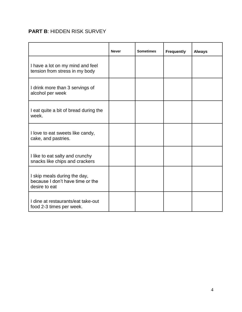#### **PART B**: HIDDEN RISK SURVEY

|                                                                                   | <b>Never</b> | <b>Sometimes</b> | <b>Frequently</b> | <b>Always</b> |
|-----------------------------------------------------------------------------------|--------------|------------------|-------------------|---------------|
| I have a lot on my mind and feel<br>tension from stress in my body                |              |                  |                   |               |
| I drink more than 3 servings of<br>alcohol per week                               |              |                  |                   |               |
| I eat quite a bit of bread during the<br>week.                                    |              |                  |                   |               |
| I love to eat sweets like candy,<br>cake, and pastries.                           |              |                  |                   |               |
| I like to eat salty and crunchy<br>snacks like chips and crackers                 |              |                  |                   |               |
| I skip meals during the day,<br>because I don't have time or the<br>desire to eat |              |                  |                   |               |
| I dine at restaurants/eat take-out<br>food 2-3 times per week.                    |              |                  |                   |               |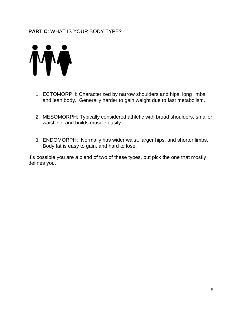#### **PART C**: WHAT IS YOUR BODY TYPE?



- 1. ECTOMORPH: Characterized by narrow shoulders and hips, long limbs and lean body. Generally harder to gain weight due to fast metabolism.
- 2. MESOMORPH: Typically considered athletic with broad shoulders, smaller waistline, and builds muscle easily.
- 3. ENDOMORPH: Normally has wider waist, larger hips, and shorter limbs. Body fat is easy to gain, and hard to lose.

It's possible you are a blend of two of these types, but pick the one that mostly defines you.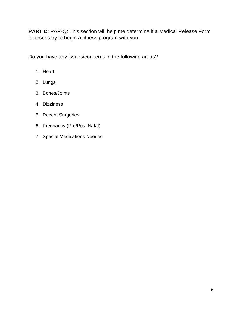**PART D: PAR-Q: This section will help me determine if a Medical Release Form** is necessary to begin a fitness program with you.

Do you have any issues/concerns in the following areas?

- 1. Heart
- 2. Lungs
- 3. Bones/Joints
- 4. Dizziness
- 5. Recent Surgeries
- 6. Pregnancy (Pre/Post Natal)
- 7. Special Medications Needed